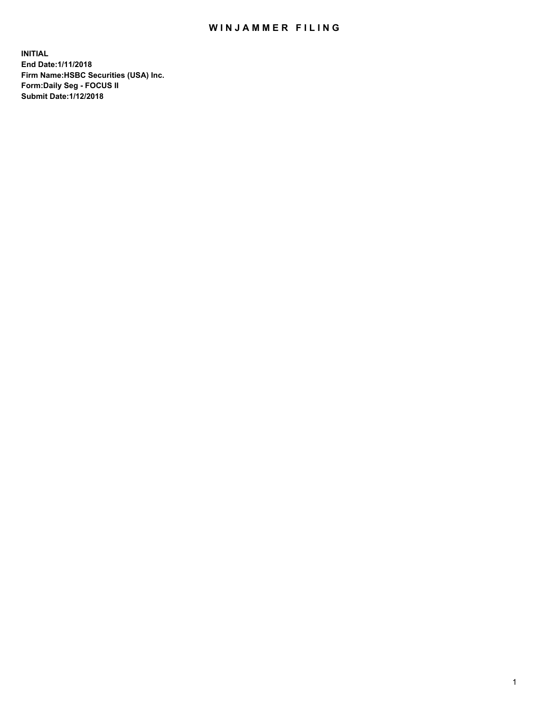## WIN JAMMER FILING

**INITIAL End Date:1/11/2018 Firm Name:HSBC Securities (USA) Inc. Form:Daily Seg - FOCUS II Submit Date:1/12/2018**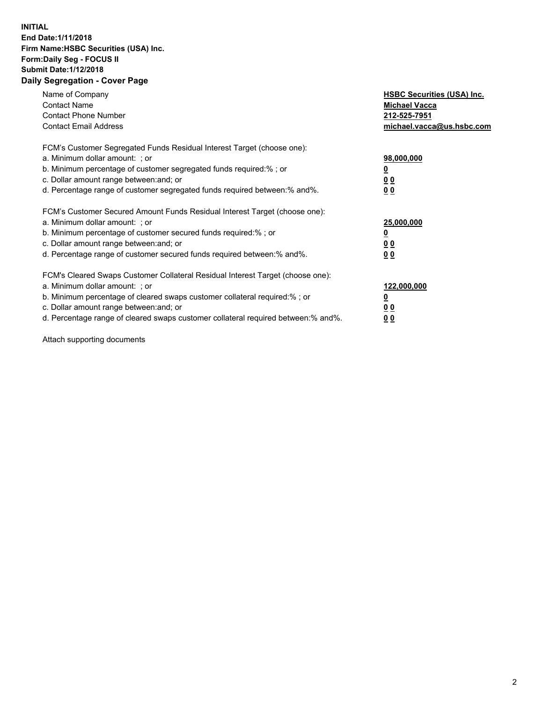## **INITIAL End Date:1/11/2018 Firm Name:HSBC Securities (USA) Inc. Form:Daily Seg - FOCUS II Submit Date:1/12/2018 Daily Segregation - Cover Page**

| Name of Company<br><b>Contact Name</b><br><b>Contact Phone Number</b><br><b>Contact Email Address</b>                                                                                                                                                                                                                         | <b>HSBC Securities (USA) Inc.</b><br><b>Michael Vacca</b><br>212-525-7951<br>michael.vacca@us.hsbc.com |
|-------------------------------------------------------------------------------------------------------------------------------------------------------------------------------------------------------------------------------------------------------------------------------------------------------------------------------|--------------------------------------------------------------------------------------------------------|
| FCM's Customer Segregated Funds Residual Interest Target (choose one):<br>a. Minimum dollar amount: ; or<br>b. Minimum percentage of customer segregated funds required:%; or<br>c. Dollar amount range between: and; or<br>d. Percentage range of customer segregated funds required between: % and %.                       | 98,000,000<br><u>0</u><br><u>00</u><br><u>00</u>                                                       |
| FCM's Customer Secured Amount Funds Residual Interest Target (choose one):<br>a. Minimum dollar amount: ; or<br>b. Minimum percentage of customer secured funds required:%; or<br>c. Dollar amount range between: and; or<br>d. Percentage range of customer secured funds required between: % and %.                         | 25,000,000<br><u>0</u><br><u>00</u><br>00                                                              |
| FCM's Cleared Swaps Customer Collateral Residual Interest Target (choose one):<br>a. Minimum dollar amount: ; or<br>b. Minimum percentage of cleared swaps customer collateral required:%; or<br>c. Dollar amount range between: and; or<br>d. Percentage range of cleared swaps customer collateral required between:% and%. | 122,000,000<br><u>0</u><br><u>00</u><br><u>00</u>                                                      |

Attach supporting documents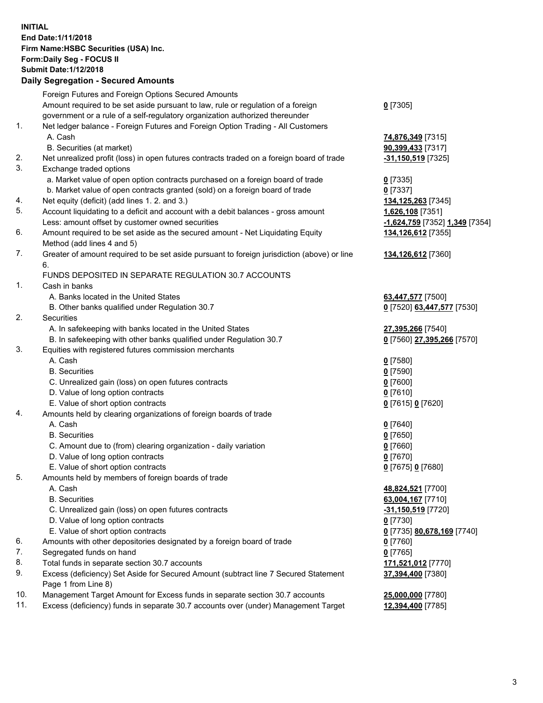**INITIAL End Date:1/11/2018 Firm Name:HSBC Securities (USA) Inc. Form:Daily Seg - FOCUS II Submit Date:1/12/2018 Daily Segregation - Secured Amounts**

Foreign Futures and Foreign Options Secured Amounts Amount required to be set aside pursuant to law, rule or regulation of a foreign government or a rule of a self-regulatory organization authorized thereunder **0** [7305] 1. Net ledger balance - Foreign Futures and Foreign Option Trading - All Customers A. Cash **74,876,349** [7315] B. Securities (at market) **90,399,433** [7317] 2. Net unrealized profit (loss) in open futures contracts traded on a foreign board of trade **-31,150,519** [7325] 3. Exchange traded options a. Market value of open option contracts purchased on a foreign board of trade **0** [7335] b. Market value of open contracts granted (sold) on a foreign board of trade **0** [7337] 4. Net equity (deficit) (add lines 1. 2. and 3.) **134,125,263** [7345] 5. Account liquidating to a deficit and account with a debit balances - gross amount **1,626,108** [7351] Less: amount offset by customer owned securities **-1,624,759** [7352] **1,349** [7354] 6. Amount required to be set aside as the secured amount - Net Liquidating Equity Method (add lines 4 and 5) **134,126,612** [7355] 7. Greater of amount required to be set aside pursuant to foreign jurisdiction (above) or line 6. **134,126,612** [7360] FUNDS DEPOSITED IN SEPARATE REGULATION 30.7 ACCOUNTS 1. Cash in banks A. Banks located in the United States **63,447,577** [7500] B. Other banks qualified under Regulation 30.7 **0** [7520] **63,447,577** [7530] 2. Securities A. In safekeeping with banks located in the United States **27,395,266** [7540] B. In safekeeping with other banks qualified under Regulation 30.7 **0** [7560] **27,395,266** [7570] 3. Equities with registered futures commission merchants A. Cash **0** [7580] B. Securities **0** [7590] C. Unrealized gain (loss) on open futures contracts **0** [7600] D. Value of long option contracts **0** [7610] E. Value of short option contracts **0** [7615] **0** [7620] 4. Amounts held by clearing organizations of foreign boards of trade A. Cash **0** [7640] B. Securities **0** [7650] C. Amount due to (from) clearing organization - daily variation **0** [7660] D. Value of long option contracts **0** [7670] E. Value of short option contracts **0** [7675] **0** [7680] 5. Amounts held by members of foreign boards of trade A. Cash **48,824,521** [7700] B. Securities **63,004,167** [7710] C. Unrealized gain (loss) on open futures contracts **-31,150,519** [7720] D. Value of long option contracts **0** [7730] E. Value of short option contracts **0** [7735] **80,678,169** [7740] 6. Amounts with other depositories designated by a foreign board of trade **0** [7760] 7. Segregated funds on hand **0** [7765] 8. Total funds in separate section 30.7 accounts **171,521,012** [7770] 9. Excess (deficiency) Set Aside for Secured Amount (subtract line 7 Secured Statement Page 1 from Line 8) **37,394,400** [7380] 10. Management Target Amount for Excess funds in separate section 30.7 accounts **25,000,000** [7780] 11. Excess (deficiency) funds in separate 30.7 accounts over (under) Management Target **12,394,400** [7785]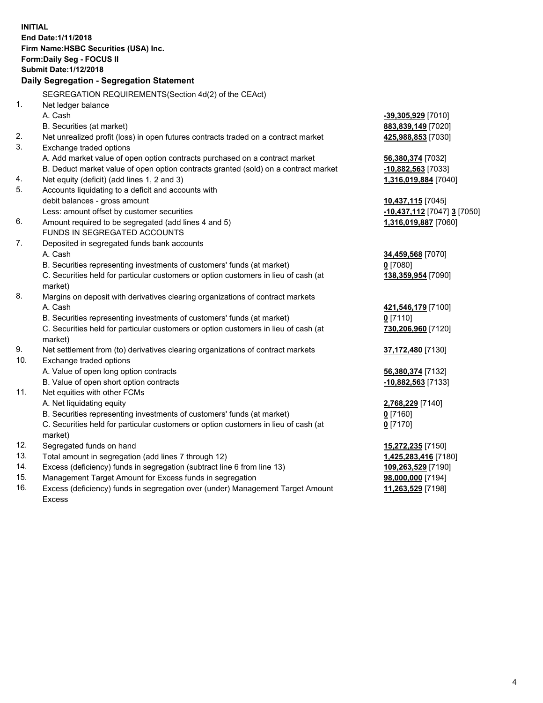| <b>INITIAL</b> | End Date: 1/11/2018<br>Firm Name: HSBC Securities (USA) Inc.<br>Form: Daily Seg - FOCUS II<br><b>Submit Date: 1/12/2018</b> |                             |  |  |  |
|----------------|-----------------------------------------------------------------------------------------------------------------------------|-----------------------------|--|--|--|
|                | Daily Segregation - Segregation Statement                                                                                   |                             |  |  |  |
|                | SEGREGATION REQUIREMENTS(Section 4d(2) of the CEAct)                                                                        |                             |  |  |  |
| 1.             | Net ledger balance                                                                                                          |                             |  |  |  |
|                | A. Cash                                                                                                                     | -39,305,929 [7010]          |  |  |  |
|                | B. Securities (at market)                                                                                                   | 883,839,149 [7020]          |  |  |  |
| 2.             | Net unrealized profit (loss) in open futures contracts traded on a contract market                                          | 425,988,853 [7030]          |  |  |  |
| 3.             | Exchange traded options                                                                                                     |                             |  |  |  |
|                | A. Add market value of open option contracts purchased on a contract market                                                 | 56,380,374 [7032]           |  |  |  |
|                | B. Deduct market value of open option contracts granted (sold) on a contract market                                         | $-10,882,563$ [7033]        |  |  |  |
| 4.             | Net equity (deficit) (add lines 1, 2 and 3)                                                                                 | 1,316,019,884 [7040]        |  |  |  |
| 5.             | Accounts liquidating to a deficit and accounts with                                                                         |                             |  |  |  |
|                | debit balances - gross amount                                                                                               | 10,437,115 [7045]           |  |  |  |
|                | Less: amount offset by customer securities                                                                                  | -10,437,112 [7047] 3 [7050] |  |  |  |
| 6.             | Amount required to be segregated (add lines 4 and 5)                                                                        | 1,316,019,887 [7060]        |  |  |  |
|                | FUNDS IN SEGREGATED ACCOUNTS                                                                                                |                             |  |  |  |
| 7.             | Deposited in segregated funds bank accounts                                                                                 |                             |  |  |  |
|                | A. Cash                                                                                                                     | 34,459,568 [7070]           |  |  |  |
|                | B. Securities representing investments of customers' funds (at market)                                                      | 0 [7080]                    |  |  |  |
|                | C. Securities held for particular customers or option customers in lieu of cash (at<br>market)                              | 138,359,954 [7090]          |  |  |  |
| 8.             | Margins on deposit with derivatives clearing organizations of contract markets                                              |                             |  |  |  |
|                | A. Cash                                                                                                                     | 421,546,179 [7100]          |  |  |  |
|                | B. Securities representing investments of customers' funds (at market)                                                      | $0$ [7110]                  |  |  |  |
|                | C. Securities held for particular customers or option customers in lieu of cash (at<br>market)                              | 730,206,960 [7120]          |  |  |  |
| 9.             | Net settlement from (to) derivatives clearing organizations of contract markets                                             | 37,172,480 [7130]           |  |  |  |
| 10.            | Exchange traded options                                                                                                     |                             |  |  |  |
|                | A. Value of open long option contracts                                                                                      | 56,380,374 [7132]           |  |  |  |
|                | B. Value of open short option contracts                                                                                     | $-10,882,563$ [7133]        |  |  |  |
| 11.            | Net equities with other FCMs                                                                                                |                             |  |  |  |
|                | A. Net liquidating equity                                                                                                   | 2,768,229 [7140]            |  |  |  |
|                | B. Securities representing investments of customers' funds (at market)                                                      | 0 [7160]                    |  |  |  |
|                | C. Securities held for particular customers or option customers in lieu of cash (at<br>market)                              | $0$ [7170]                  |  |  |  |
| 12.            | Segregated funds on hand                                                                                                    | 15,272,235 [7150]           |  |  |  |
| 13.            | Total amount in segregation (add lines 7 through 12)                                                                        | 1,425,283,416 [7180]        |  |  |  |
| 14.            | Excess (deficiency) funds in segregation (subtract line 6 from line 13)                                                     | 109,263,529 [7190]          |  |  |  |
| 15.            | Management Target Amount for Excess funds in segregation                                                                    | 98,000,000 [7194]           |  |  |  |

16. Excess (deficiency) funds in segregation over (under) Management Target Amount Excess

**11,263,529** [7198]